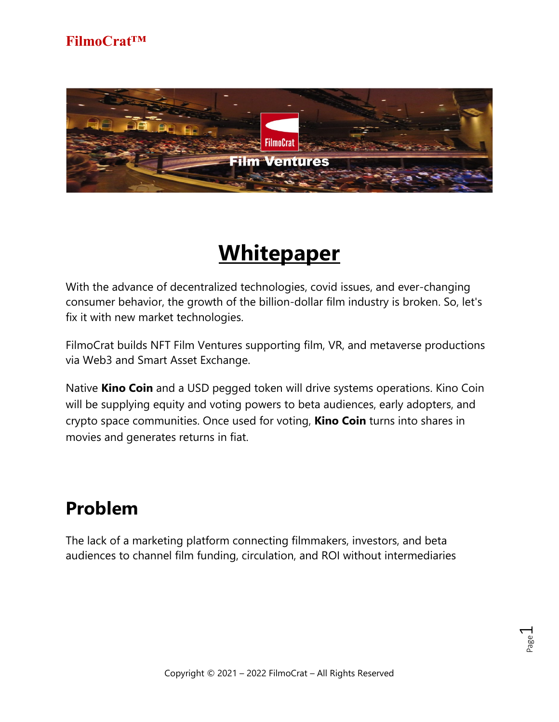

# **Whitepaper**

With the advance of decentralized technologies, covid issues, and ever-changing consumer behavior, the growth of the billion-dollar film industry is broken. So, let's fix it with new market technologies.

FilmoCrat builds NFT Film Ventures supporting film, VR, and metaverse productions via Web3 and Smart Asset Exchange.

Native **Kino Coin** and a USD pegged token will drive systems operations. Kino Coin will be supplying equity and voting powers to beta audiences, early adopters, and crypto space communities. Once used for voting, **Kino Coin** turns into shares in movies and generates returns in fiat.

## **Problem**

The lack of a marketing platform connecting filmmakers, investors, and beta audiences to channel film funding, circulation, and ROI without intermediaries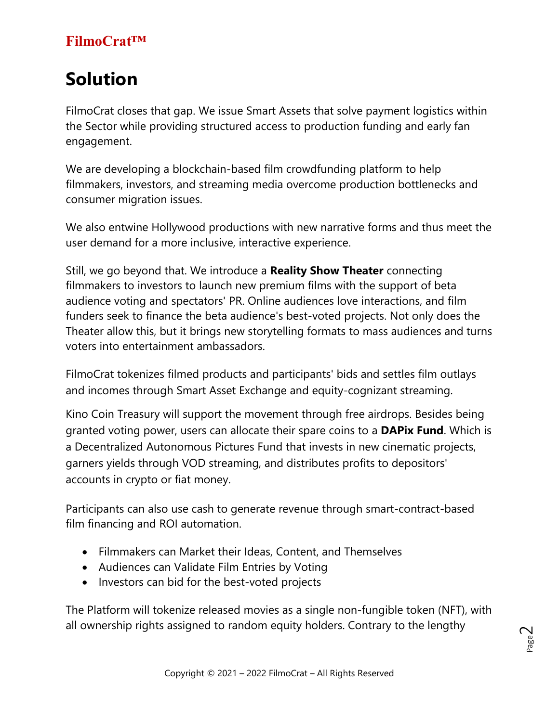## **Solution**

FilmoCrat closes that gap. We issue Smart Assets that solve payment logistics within the Sector while providing structured access to production funding and early fan engagement.

We are developing a blockchain-based film crowdfunding platform to help filmmakers, investors, and streaming media overcome production bottlenecks and consumer migration issues.

We also entwine Hollywood productions with new narrative forms and thus meet the user demand for a more inclusive, interactive experience.

Still, we go beyond that. We introduce a **Reality Show Theater** connecting filmmakers to investors to launch new premium films with the support of beta audience voting and spectators' PR. Online audiences love interactions, and film funders seek to finance the beta audience's best-voted projects. Not only does the Theater allow this, but it brings new storytelling formats to mass audiences and turns voters into entertainment ambassadors.

FilmoCrat tokenizes filmed products and participants' bids and settles film outlays and incomes through Smart Asset Exchange and equity-cognizant streaming.

Kino Coin Treasury will support the movement through free airdrops. Besides being granted voting power, users can allocate their spare coins to a **DAPix Fund**. Which is a Decentralized Autonomous Pictures Fund that invests in new cinematic projects, garners yields through VOD streaming, and distributes profits to depositors' accounts in crypto or fiat money.

Participants can also use cash to generate revenue through smart-contract-based film financing and ROI automation.

- Filmmakers can Market their Ideas, Content, and Themselves
- Audiences can Validate Film Entries by Voting
- Investors can bid for the best-voted projects

The Platform will tokenize released movies as a single non-fungible token (NFT), with all ownership rights assigned to random equity holders. Contrary to the lengthy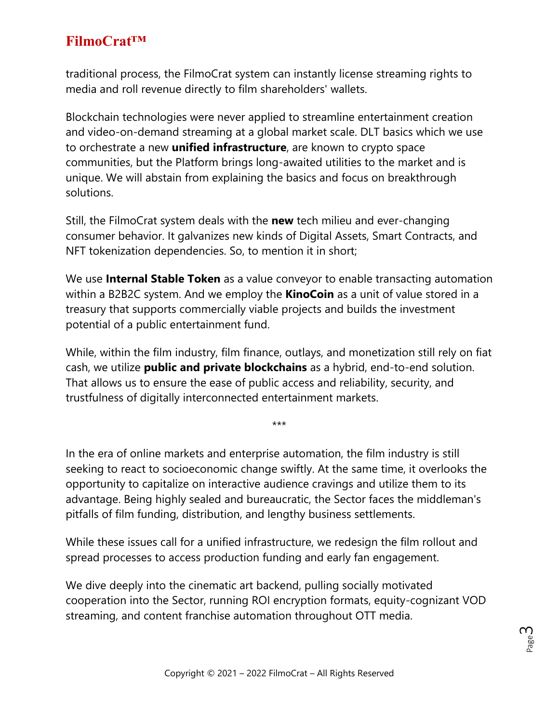traditional process, the FilmoCrat system can instantly license streaming rights to media and roll revenue directly to film shareholders' wallets.

Blockchain technologies were never applied to streamline entertainment creation and video-on-demand streaming at a global market scale. DLT basics which we use to orchestrate a new **unified infrastructure**, are known to crypto space communities, but the Platform brings long-awaited utilities to the market and is unique. We will abstain from explaining the basics and focus on breakthrough solutions.

Still, the FilmoCrat system deals with the **new** tech milieu and ever-changing consumer behavior. It galvanizes new kinds of Digital Assets, Smart Contracts, and NFT tokenization dependencies. So, to mention it in short;

We use **Internal Stable Token** as a value conveyor to enable transacting automation within a B2B2C system. And we employ the **KinoCoin** as a unit of value stored in a treasury that supports commercially viable projects and builds the investment potential of a public entertainment fund.

While, within the film industry, film finance, outlays, and monetization still rely on fiat cash, we utilize **public and private blockchains** as a hybrid, end-to-end solution. That allows us to ensure the ease of public access and reliability, security, and trustfulness of digitally interconnected entertainment markets.

\*\*\*

In the era of online markets and enterprise automation, the film industry is still seeking to react to socioeconomic change swiftly. At the same time, it overlooks the opportunity to capitalize on interactive audience cravings and utilize them to its advantage. Being highly sealed and bureaucratic, the Sector faces the middleman's pitfalls of film funding, distribution, and lengthy business settlements.

While these issues call for a unified infrastructure, we redesign the film rollout and spread processes to access production funding and early fan engagement.

We dive deeply into the cinematic art backend, pulling socially motivated cooperation into the Sector, running ROI encryption formats, equity-cognizant VOD streaming, and content franchise automation throughout OTT media.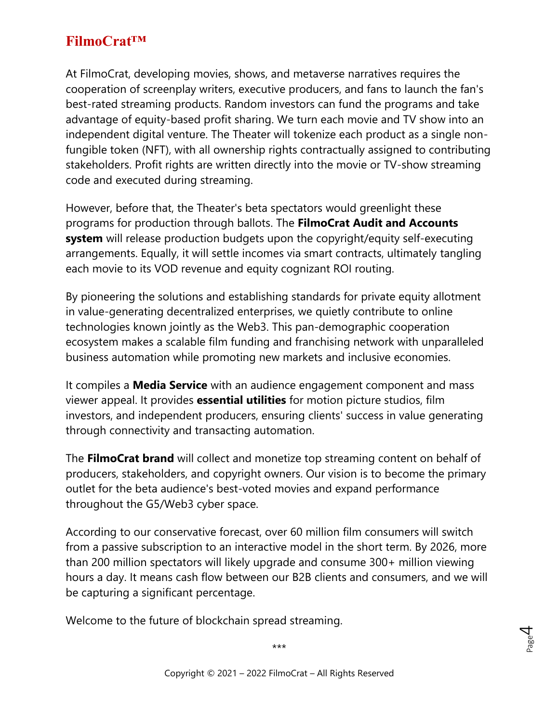At FilmoCrat, developing movies, shows, and metaverse narratives requires the cooperation of screenplay writers, executive producers, and fans to launch the fan's best-rated streaming products. Random investors can fund the programs and take advantage of equity-based profit sharing. We turn each movie and TV show into an independent digital venture. The Theater will tokenize each product as a single nonfungible token (NFT), with all ownership rights contractually assigned to contributing stakeholders. Profit rights are written directly into the movie or TV-show streaming code and executed during streaming.

However, before that, the Theater's beta spectators would greenlight these programs for production through ballots. The **FilmoCrat Audit and Accounts system** will release production budgets upon the copyright/equity self-executing arrangements. Equally, it will settle incomes via smart contracts, ultimately tangling each movie to its VOD revenue and equity cognizant ROI routing.

By pioneering the solutions and establishing standards for private equity allotment in value-generating decentralized enterprises, we quietly contribute to online technologies known jointly as the Web3. This pan-demographic cooperation ecosystem makes a scalable film funding and franchising network with unparalleled business automation while promoting new markets and inclusive economies.

It compiles a **Media Service** with an audience engagement component and mass viewer appeal. It provides **essential utilities** for motion picture studios, film investors, and independent producers, ensuring clients' success in value generating through connectivity and transacting automation.

The **FilmoCrat brand** will collect and monetize top streaming content on behalf of producers, stakeholders, and copyright owners. Our vision is to become the primary outlet for the beta audience's best-voted movies and expand performance throughout the G5/Web3 cyber space.

According to our conservative forecast, over 60 million film consumers will switch from a passive subscription to an interactive model in the short term. By 2026, more than 200 million spectators will likely upgrade and consume 300+ million viewing hours a day. It means cash flow between our B2B clients and consumers, and we will be capturing a significant percentage.

Welcome to the future of blockchain spread streaming.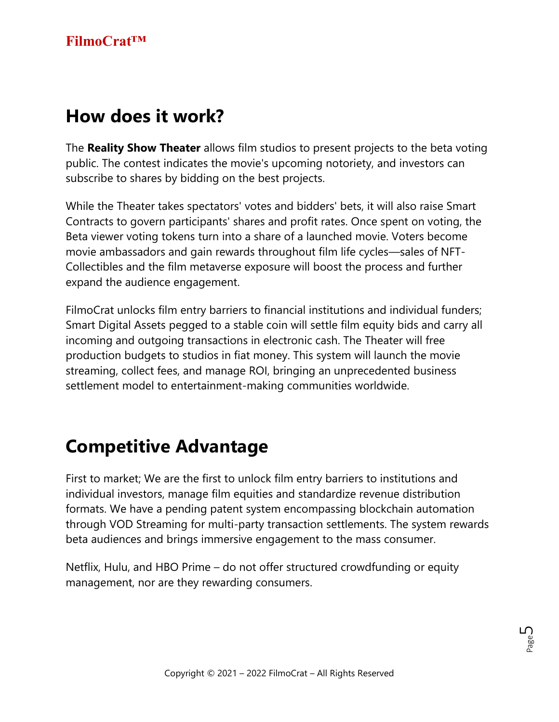## **How does it work?**

The **Reality Show Theater** allows film studios to present projects to the beta voting public. The contest indicates the movie's upcoming notoriety, and investors can subscribe to shares by bidding on the best projects.

While the Theater takes spectators' votes and bidders' bets, it will also raise Smart Contracts to govern participants' shares and profit rates. Once spent on voting, the Beta viewer voting tokens turn into a share of a launched movie. Voters become movie ambassadors and gain rewards throughout film life cycles—sales of NFT-Collectibles and the film metaverse exposure will boost the process and further expand the audience engagement.

FilmoCrat unlocks film entry barriers to financial institutions and individual funders; Smart Digital Assets pegged to a stable coin will settle film equity bids and carry all incoming and outgoing transactions in electronic cash. The Theater will free production budgets to studios in fiat money. This system will launch the movie streaming, collect fees, and manage ROI, bringing an unprecedented business settlement model to entertainment-making communities worldwide.

## **Competitive Advantage**

First to market; We are the first to unlock film entry barriers to institutions and individual investors, manage film equities and standardize revenue distribution formats. We have a pending patent system encompassing blockchain automation through VOD Streaming for multi-party transaction settlements. The system rewards beta audiences and brings immersive engagement to the mass consumer.

Netflix, Hulu, and HBO Prime – do not offer structured crowdfunding or equity management, nor are they rewarding consumers.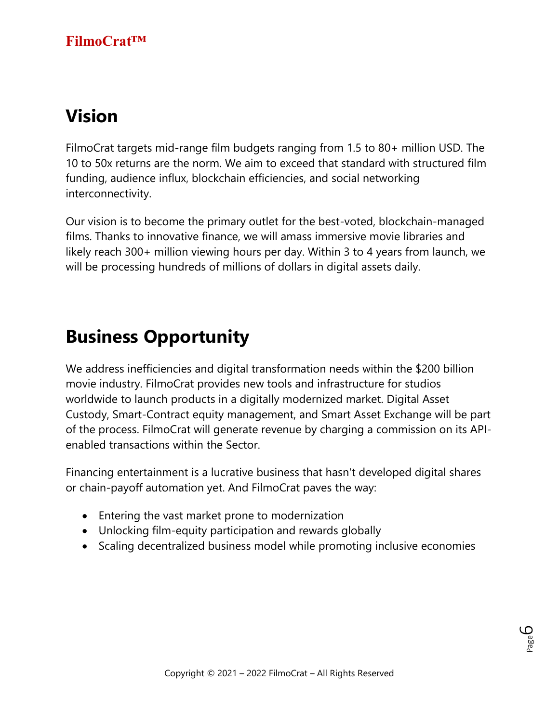## **Vision**

FilmoCrat targets mid-range film budgets ranging from 1.5 to 80+ million USD. The 10 to 50x returns are the norm. We aim to exceed that standard with structured film funding, audience influx, blockchain efficiencies, and social networking interconnectivity.

Our vision is to become the primary outlet for the best-voted, blockchain-managed films. Thanks to innovative finance, we will amass immersive movie libraries and likely reach 300+ million viewing hours per day. Within 3 to 4 years from launch, we will be processing hundreds of millions of dollars in digital assets daily.

## **Business Opportunity**

We address inefficiencies and digital transformation needs within the \$200 billion movie industry. FilmoCrat provides new tools and infrastructure for studios worldwide to launch products in a digitally modernized market. Digital Asset Custody, Smart-Contract equity management, and Smart Asset Exchange will be part of the process. FilmoCrat will generate revenue by charging a commission on its APIenabled transactions within the Sector.

Financing entertainment is a lucrative business that hasn't developed digital shares or chain-payoff automation yet. And FilmoCrat paves the way:

- Entering the vast market prone to modernization
- Unlocking film-equity participation and rewards globally
- Scaling decentralized business model while promoting inclusive economies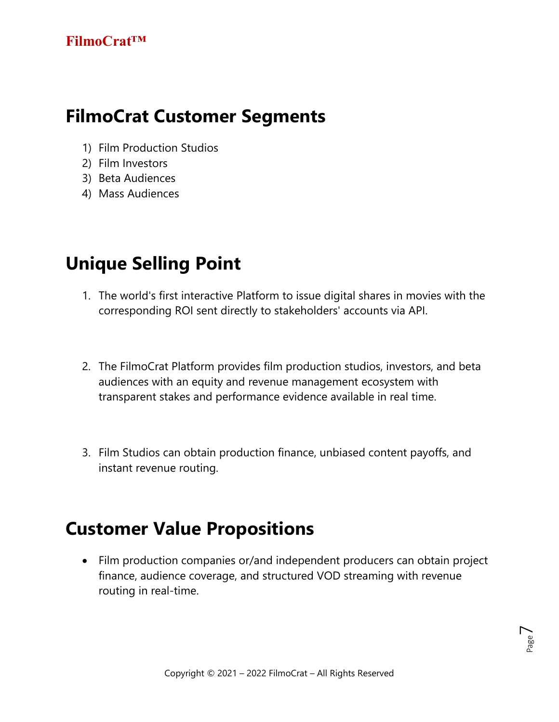## **FilmoCrat Customer Segments**

- 1) Film Production Studios
- 2) Film Investors
- 3) Beta Audiences
- 4) Mass Audiences

## **Unique Selling Point**

- 1. The world's first interactive Platform to issue digital shares in movies with the corresponding ROI sent directly to stakeholders' accounts via API.
- 2. The FilmoCrat Platform provides film production studios, investors, and beta audiences with an equity and revenue management ecosystem with transparent stakes and performance evidence available in real time.
- 3. Film Studios can obtain production finance, unbiased content payoffs, and instant revenue routing.

## **Customer Value Propositions**

• Film production companies or/and independent producers can obtain project finance, audience coverage, and structured VOD streaming with revenue routing in real-time.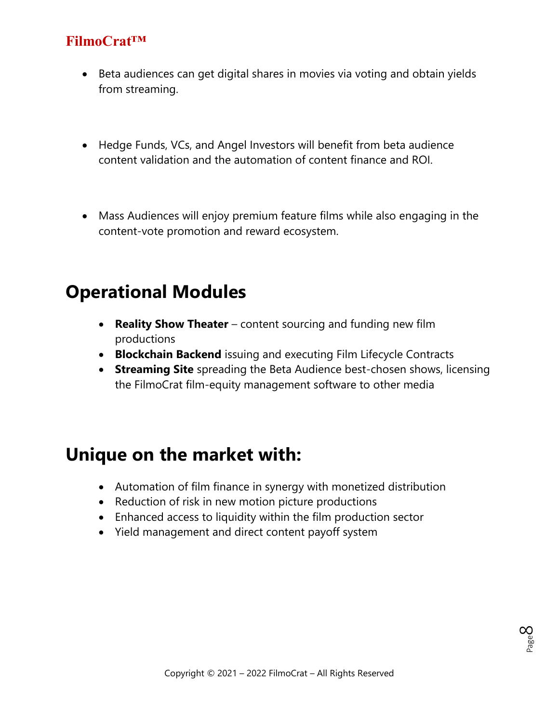- Beta audiences can get digital shares in movies via voting and obtain yields from streaming.
- Hedge Funds, VCs, and Angel Investors will benefit from beta audience content validation and the automation of content finance and ROI.
- Mass Audiences will enjoy premium feature films while also engaging in the content-vote promotion and reward ecosystem.

### **Operational Modules**

- **Reality Show Theater** content sourcing and funding new film productions
- **Blockchain Backend** issuing and executing Film Lifecycle Contracts
- **Streaming Site** spreading the Beta Audience best-chosen shows, licensing the FilmoCrat film-equity management software to other media

### **Unique on the market with:**

- Automation of film finance in synergy with monetized distribution
- Reduction of risk in new motion picture productions
- Enhanced access to liquidity within the film production sector
- Yield management and direct content payoff system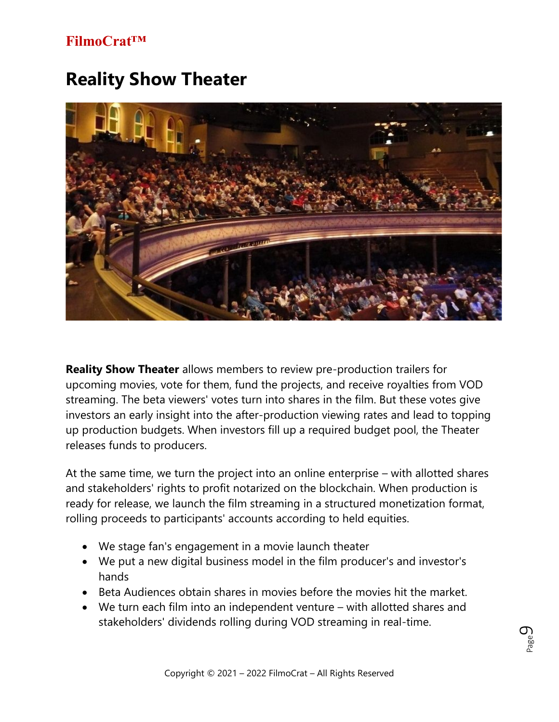## **Reality Show Theater**



**Reality Show Theater** allows members to review pre-production trailers for upcoming movies, vote for them, fund the projects, and receive royalties from VOD streaming. The beta viewers' votes turn into shares in the film. But these votes give investors an early insight into the after-production viewing rates and lead to topping up production budgets. When investors fill up a required budget pool, the Theater releases funds to producers.

At the same time, we turn the project into an online enterprise – with allotted shares and stakeholders' rights to profit notarized on the blockchain. When production is ready for release, we launch the film streaming in a structured monetization format, rolling proceeds to participants' accounts according to held equities.

- We stage fan's engagement in a movie launch theater
- We put a new digital business model in the film producer's and investor's hands
- Beta Audiences obtain shares in movies before the movies hit the market.
- We turn each film into an independent venture with allotted shares and stakeholders' dividends rolling during VOD streaming in real-time.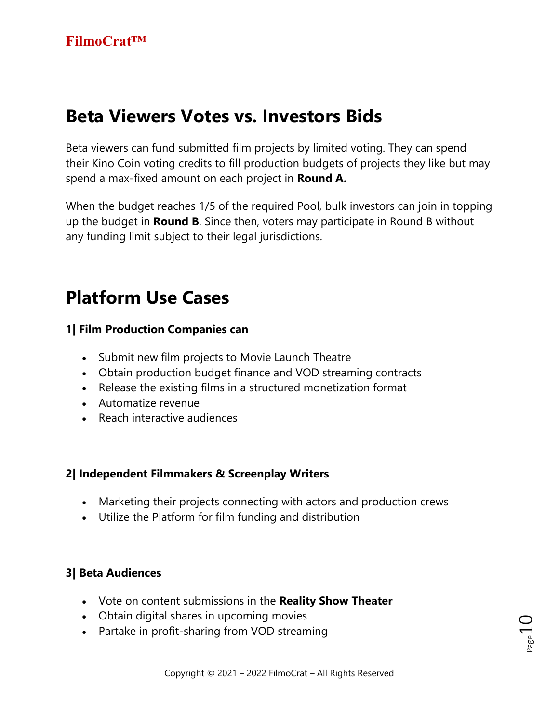## **Beta Viewers Votes vs. Investors Bids**

Beta viewers can fund submitted film projects by limited voting. They can spend their Kino Coin voting credits to fill production budgets of projects they like but may spend a max-fixed amount on each project in **Round A.** 

When the budget reaches 1/5 of the required Pool, bulk investors can join in topping up the budget in **Round B**. Since then, voters may participate in Round B without any funding limit subject to their legal jurisdictions.

## **Platform Use Cases**

#### **1| Film Production Companies can**

- Submit new film projects to Movie Launch Theatre
- Obtain production budget finance and VOD streaming contracts
- Release the existing films in a structured monetization format
- Automatize revenue
- Reach interactive audiences

#### **2| Independent Filmmakers & Screenplay Writers**

- Marketing their projects connecting with actors and production crews
- Utilize the Platform for film funding and distribution

#### **3| Beta Audiences**

- Vote on content submissions in the **Reality Show Theater**
- Obtain digital shares in upcoming movies
- Partake in profit-sharing from VOD streaming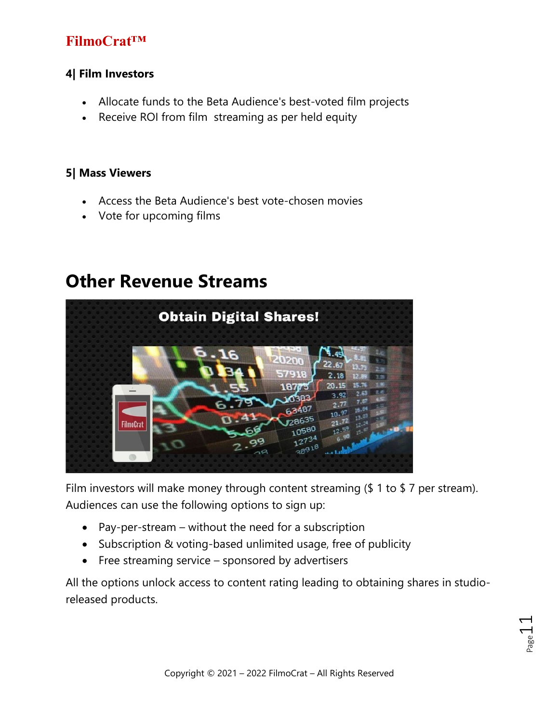#### **4| Film Investors**

- Allocate funds to the Beta Audience's best-voted film projects
- Receive ROI from film streaming as per held equity

#### **5| Mass Viewers**

- Access the Beta Audience's best vote-chosen movies
- Vote for upcoming films

### **Other Revenue Streams**



Film investors will make money through content streaming (\$ 1 to \$ 7 per stream). Audiences can use the following options to sign up:

- Pay-per-stream without the need for a subscription
- Subscription & voting-based unlimited usage, free of publicity
- Free streaming service sponsored by advertisers

All the options unlock access to content rating leading to obtaining shares in studioreleased products.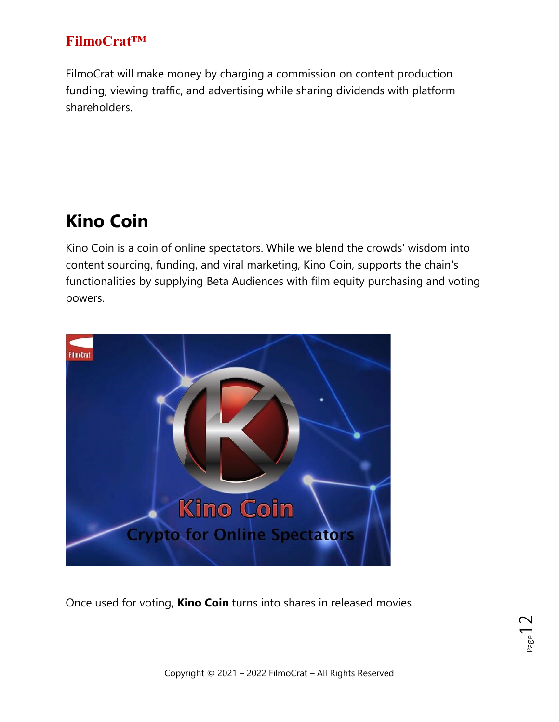FilmoCrat will make money by charging a commission on content production funding, viewing traffic, and advertising while sharing dividends with platform shareholders.

## **Kino Coin**

Kino Coin is a coin of online spectators. While we blend the crowds' wisdom into content sourcing, funding, and viral marketing, Kino Coin, supports the chain's functionalities by supplying Beta Audiences with film equity purchasing and voting powers.



Once used for voting, **Kino Coin** turns into shares in released movies.

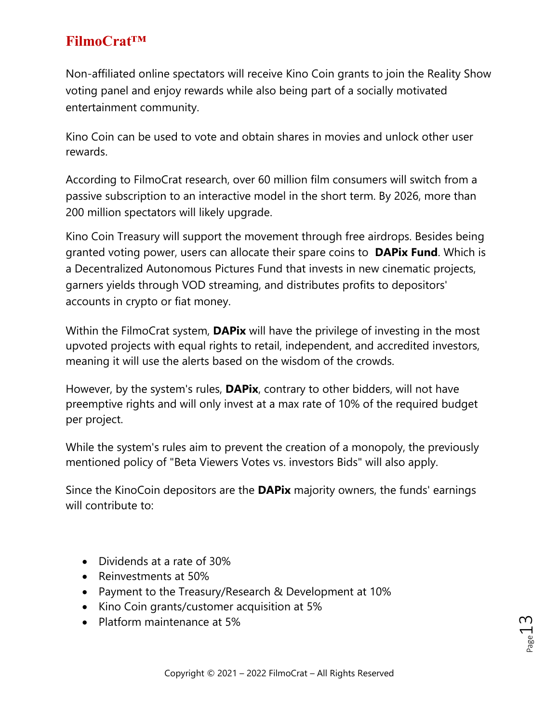Non-affiliated online spectators will receive Kino Coin grants to join the Reality Show voting panel and enjoy rewards while also being part of a socially motivated entertainment community.

Kino Coin can be used to vote and obtain shares in movies and unlock other user rewards.

According to FilmoCrat research, over 60 million film consumers will switch from a passive subscription to an interactive model in the short term. By 2026, more than 200 million spectators will likely upgrade.

Kino Coin Treasury will support the movement through free airdrops. Besides being granted voting power, users can allocate their spare coins to **DAPix Fund**. Which is a Decentralized Autonomous Pictures Fund that invests in new cinematic projects, garners yields through VOD streaming, and distributes profits to depositors' accounts in crypto or fiat money.

Within the FilmoCrat system, **DAPix** will have the privilege of investing in the most upvoted projects with equal rights to retail, independent, and accredited investors, meaning it will use the alerts based on the wisdom of the crowds.

However, by the system's rules, **DAPix**, contrary to other bidders, will not have preemptive rights and will only invest at a max rate of 10% of the required budget per project.

While the system's rules aim to prevent the creation of a monopoly, the previously mentioned policy of "Beta Viewers Votes vs. investors Bids" will also apply.

Since the KinoCoin depositors are the **DAPix** majority owners, the funds' earnings will contribute to:

- Dividends at a rate of 30%
- Reinvestments at 50%
- Payment to the Treasury/Research & Development at 10%
- Kino Coin grants/customer acquisition at 5%
- Platform maintenance at 5%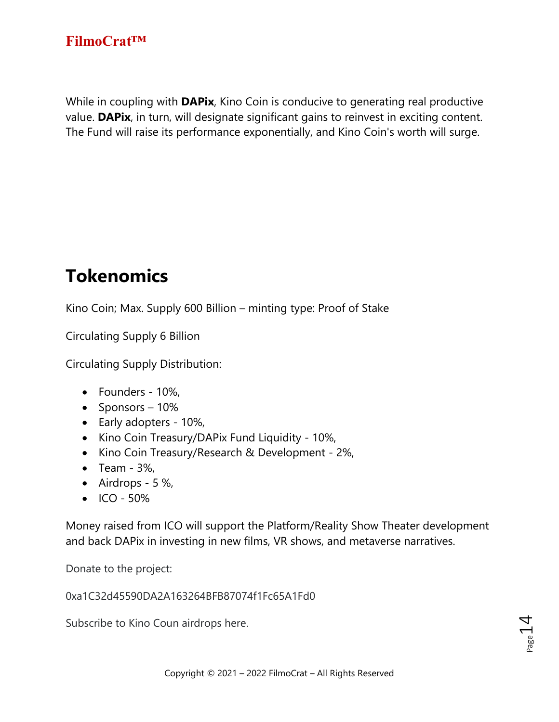While in coupling with **DAPix**, Kino Coin is conducive to generating real productive value. **DAPix**, in turn, will designate significant gains to reinvest in exciting content. The Fund will raise its performance exponentially, and Kino Coin's worth will surge.

## **Tokenomics**

Kino Coin; Max. Supply 600 Billion – minting type: Proof of Stake

Circulating Supply 6 Billion

Circulating Supply Distribution:

- Founders 10%,
- Sponsors 10%
- Early adopters 10%,
- Kino Coin Treasury/DAPix Fund Liquidity 10%,
- Kino Coin Treasury/Research & Development 2%,
- Team 3%,
- Airdrops  $5\%$ ,
- $\bullet$  ICO 50%

Money raised from ICO will support the Platform/Reality Show Theater development and back DAPix in investing in new films, VR shows, and metaverse narratives.

Donate to the project:

0xa1C32d45590DA2A163264BFB87074f1Fc65A1Fd0

Subscribe to Kino Coun airdrops here.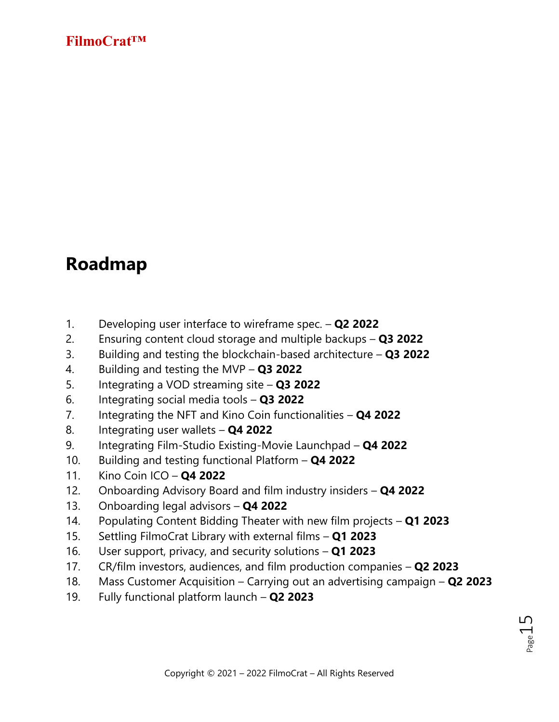### **Roadmap**

- 1. Developing user interface to wireframe spec. **Q2 2022**
- 2. Ensuring content cloud storage and multiple backups **Q3 2022**
- 3. Building and testing the blockchain-based architecture **Q3 2022**
- 4. Building and testing the MVP **Q3 2022**
- 5. Integrating a VOD streaming site **Q3 2022**
- 6. Integrating social media tools **Q3 2022**
- 7. Integrating the NFT and Kino Coin functionalities **Q4 2022**
- 8. Integrating user wallets **Q4 2022**
- 9. Integrating Film-Studio Existing-Movie Launchpad **Q4 2022**
- 10. Building and testing functional Platform **Q4 2022**
- 11. Kino Coin ICO **Q4 2022**
- 12. Onboarding Advisory Board and film industry insiders **Q4 2022**
- 13. Onboarding legal advisors **Q4 2022**
- 14. Populating Content Bidding Theater with new film projects **Q1 2023**
- 15. Settling FilmoCrat Library with external films **Q1 2023**
- 16. User support, privacy, and security solutions **Q1 2023**
- 17. CR/film investors, audiences, and film production companies **Q2 2023**
- 18. Mass Customer Acquisition Carrying out an advertising campaign **Q2 2023**
- 19. Fully functional platform launch **Q2 2023**